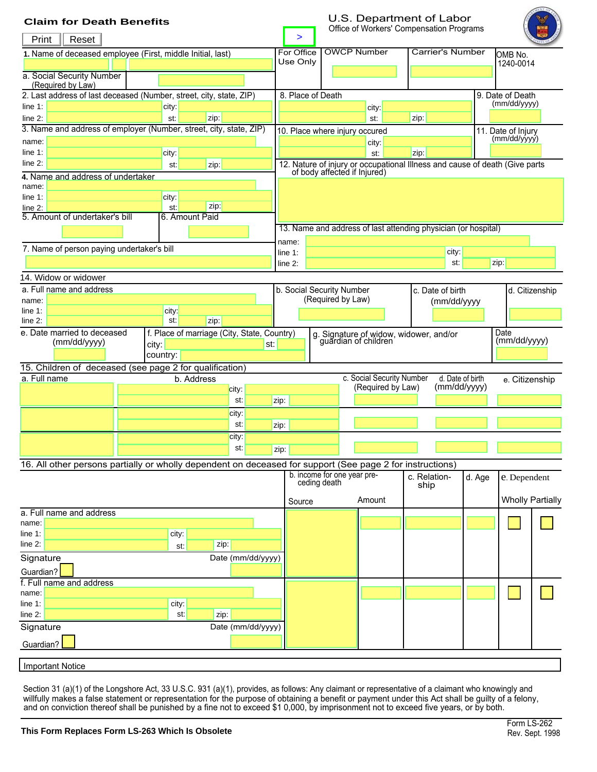# <span id="page-0-0"></span>**Claim for Death Benefits**

## U.S. Department of Labor Office of Workers' Compensation Programs



| Print<br>Reset                                                                                            | >                                                          |              |                             |      |                                                                                                             |                                                                |  |                                                                |      |                                  |                  |                |                         |  |  |
|-----------------------------------------------------------------------------------------------------------|------------------------------------------------------------|--------------|-----------------------------|------|-------------------------------------------------------------------------------------------------------------|----------------------------------------------------------------|--|----------------------------------------------------------------|------|----------------------------------|------------------|----------------|-------------------------|--|--|
|                                                                                                           | 1. Name of deceased employee (First, middle Initial, last) |              |                             |      |                                                                                                             | For Office                                                     |  | <b>OWCP Number</b>                                             |      | Carrier's Number                 |                  | OMB No.        |                         |  |  |
|                                                                                                           |                                                            |              |                             |      | Use Only                                                                                                    |                                                                |  |                                                                |      |                                  |                  | 1240-0014      |                         |  |  |
| a. Social Security Number                                                                                 |                                                            |              |                             |      |                                                                                                             |                                                                |  |                                                                |      |                                  |                  |                |                         |  |  |
| (Required by Law)<br>2. Last address of last deceased (Number, street, city, state, ZIP)                  |                                                            |              |                             |      | 8. Place of Death                                                                                           |                                                                |  |                                                                |      |                                  | 9. Date of Death |                |                         |  |  |
| line $1$ :<br>city:                                                                                       |                                                            |              |                             |      |                                                                                                             |                                                                |  | city:                                                          |      |                                  |                  | (mm/dd/yyyy)   |                         |  |  |
| line $2$ :                                                                                                |                                                            | st:          | zip:                        |      |                                                                                                             |                                                                |  | st:                                                            | zip: |                                  |                  |                |                         |  |  |
| 3. Name and address of employer (Number, street, city, state, ZIP)                                        |                                                            |              |                             |      | 11. Date of Injury<br>10. Place where injury occured                                                        |                                                                |  |                                                                |      |                                  |                  |                |                         |  |  |
| name:                                                                                                     |                                                            |              |                             |      |                                                                                                             |                                                                |  | city:                                                          |      |                                  |                  | (mm/dd/yyyy)   |                         |  |  |
| line $1$ :                                                                                                |                                                            | city:        |                             |      |                                                                                                             |                                                                |  | st:                                                            | zip: |                                  |                  |                |                         |  |  |
| line $2$ :<br>zip:<br>st:                                                                                 |                                                            |              |                             |      | 12. Nature of injury or occupational Illness and cause of death (Give parts<br>of body affected if Injured) |                                                                |  |                                                                |      |                                  |                  |                |                         |  |  |
| 4. Name and address of undertaker                                                                         |                                                            |              |                             |      |                                                                                                             |                                                                |  |                                                                |      |                                  |                  |                |                         |  |  |
| name:<br>line $1$ :                                                                                       |                                                            |              |                             |      |                                                                                                             |                                                                |  |                                                                |      |                                  |                  |                |                         |  |  |
| line 2:                                                                                                   |                                                            | city:<br>st: | zip:                        |      |                                                                                                             |                                                                |  |                                                                |      |                                  |                  |                |                         |  |  |
| 5. Amount of undertaker's bill<br>6. Amount Paid                                                          |                                                            |              |                             |      |                                                                                                             |                                                                |  |                                                                |      |                                  |                  |                |                         |  |  |
|                                                                                                           |                                                            |              |                             |      |                                                                                                             | 13. Name and address of last attending physician (or hospital) |  |                                                                |      |                                  |                  |                |                         |  |  |
|                                                                                                           |                                                            |              |                             |      |                                                                                                             | name:                                                          |  |                                                                |      |                                  |                  |                |                         |  |  |
| 7. Name of person paying undertaker's bill                                                                |                                                            |              |                             |      | city:<br>line $1$ :                                                                                         |                                                                |  |                                                                |      |                                  |                  |                |                         |  |  |
|                                                                                                           |                                                            |              |                             |      | st:<br>zip:<br>$line 2$ :                                                                                   |                                                                |  |                                                                |      |                                  |                  |                |                         |  |  |
| 14. Widow or widower                                                                                      |                                                            |              |                             |      |                                                                                                             |                                                                |  |                                                                |      |                                  |                  |                |                         |  |  |
| a. Full name and address                                                                                  |                                                            |              |                             |      | b. Social Security Number<br>c. Date of birth<br>(Required by Law)                                          |                                                                |  |                                                                |      |                                  |                  | d. Citizenship |                         |  |  |
| name:<br>line $1$ :                                                                                       |                                                            | city:        |                             |      |                                                                                                             |                                                                |  |                                                                |      | (mm/dd/yyyy                      |                  |                |                         |  |  |
| $line 2$ :                                                                                                |                                                            | st:          | zip:                        |      |                                                                                                             |                                                                |  |                                                                |      |                                  |                  |                |                         |  |  |
| e. Date married to deceased<br>f. Place of marriage (City, State, Country)                                |                                                            |              |                             |      |                                                                                                             |                                                                |  |                                                                |      |                                  |                  | Date           |                         |  |  |
| (mm/dd/yyyy)<br>city:<br>st:                                                                              |                                                            |              |                             |      |                                                                                                             |                                                                |  | g. Signature of widow, widower, and/or<br>guardian of children |      |                                  |                  | (mm/dd/yyyy)   |                         |  |  |
|                                                                                                           |                                                            | country:     |                             |      |                                                                                                             |                                                                |  |                                                                |      |                                  |                  |                |                         |  |  |
| 15. Children of deceased (see page 2 for qualification)                                                   |                                                            |              |                             |      |                                                                                                             |                                                                |  |                                                                |      |                                  |                  |                |                         |  |  |
| a. Full name                                                                                              |                                                            | b. Address   |                             |      |                                                                                                             |                                                                |  | c. Social Security Number<br>(Required by Law)                 |      | d. Date of birth<br>(mm/dd/yyyy) |                  | e. Citizenship |                         |  |  |
|                                                                                                           |                                                            |              | city:<br>st:                | zip: |                                                                                                             |                                                                |  |                                                                |      |                                  |                  |                |                         |  |  |
|                                                                                                           |                                                            |              |                             |      |                                                                                                             |                                                                |  |                                                                |      |                                  |                  |                |                         |  |  |
|                                                                                                           |                                                            | city:<br>st: |                             |      |                                                                                                             | zip:                                                           |  |                                                                |      |                                  |                  |                |                         |  |  |
|                                                                                                           | city:                                                      |              |                             |      |                                                                                                             |                                                                |  |                                                                |      |                                  |                  |                |                         |  |  |
|                                                                                                           |                                                            |              | st:                         | zip: |                                                                                                             |                                                                |  |                                                                |      |                                  |                  |                |                         |  |  |
|                                                                                                           |                                                            |              |                             |      |                                                                                                             |                                                                |  |                                                                |      |                                  |                  |                |                         |  |  |
| 16. All other persons partially or wholly dependent on deceased for support (See page 2 for instructions) |                                                            |              | b. income for one year pre- |      |                                                                                                             | c. Relation-                                                   |  | d. Age                                                         |      |                                  |                  |                |                         |  |  |
|                                                                                                           |                                                            |              |                             |      |                                                                                                             | ceding death                                                   |  |                                                                | ship |                                  |                  | e. Dependent   |                         |  |  |
|                                                                                                           |                                                            |              |                             |      | Source                                                                                                      |                                                                |  | Amount                                                         |      |                                  |                  |                | <b>Wholly Partially</b> |  |  |
| a. Full name and address                                                                                  |                                                            |              |                             |      |                                                                                                             |                                                                |  |                                                                |      |                                  |                  |                |                         |  |  |
| name:                                                                                                     |                                                            |              |                             |      |                                                                                                             |                                                                |  |                                                                |      |                                  |                  |                |                         |  |  |
| line 1:                                                                                                   |                                                            | city:        |                             |      |                                                                                                             |                                                                |  |                                                                |      |                                  |                  |                |                         |  |  |
| $line 2$ :                                                                                                |                                                            | st:          | zip:                        |      |                                                                                                             |                                                                |  |                                                                |      |                                  |                  |                |                         |  |  |
| Signature                                                                                                 |                                                            |              | Date (mm/dd/yyyy)           |      |                                                                                                             |                                                                |  |                                                                |      |                                  |                  |                |                         |  |  |
| Guardian?                                                                                                 |                                                            |              |                             |      |                                                                                                             |                                                                |  |                                                                |      |                                  |                  |                |                         |  |  |
| f. Full name and address                                                                                  |                                                            |              |                             |      |                                                                                                             |                                                                |  |                                                                |      |                                  |                  |                |                         |  |  |
| name:                                                                                                     |                                                            |              |                             |      |                                                                                                             |                                                                |  |                                                                |      |                                  |                  |                |                         |  |  |
| line 1:<br>line 2:                                                                                        |                                                            | city:<br>st: | zip:                        |      |                                                                                                             |                                                                |  |                                                                |      |                                  |                  |                |                         |  |  |
| Signature                                                                                                 |                                                            |              | Date (mm/dd/yyyy)           |      |                                                                                                             |                                                                |  |                                                                |      |                                  |                  |                |                         |  |  |
|                                                                                                           |                                                            |              |                             |      |                                                                                                             |                                                                |  |                                                                |      |                                  |                  |                |                         |  |  |
| Guardian?                                                                                                 |                                                            |              |                             |      |                                                                                                             |                                                                |  |                                                                |      |                                  |                  |                |                         |  |  |
|                                                                                                           |                                                            |              |                             |      |                                                                                                             |                                                                |  |                                                                |      |                                  |                  |                |                         |  |  |

**Important Notice** 

Section 31 (a)(1) of the Longshore Act, 33 U.S.C. 931 (a)(1), provides, as follows: Any claimant or representative of a claimant who knowingly and willfully makes a false statement or representation for the purpose of obtaining a benefit or payment under this Act shall be guilty of a felony, and on conviction thereof shall be punished by a fine not to exceed \$1 0,000, by imprisonment not to exceed five years, or by both.